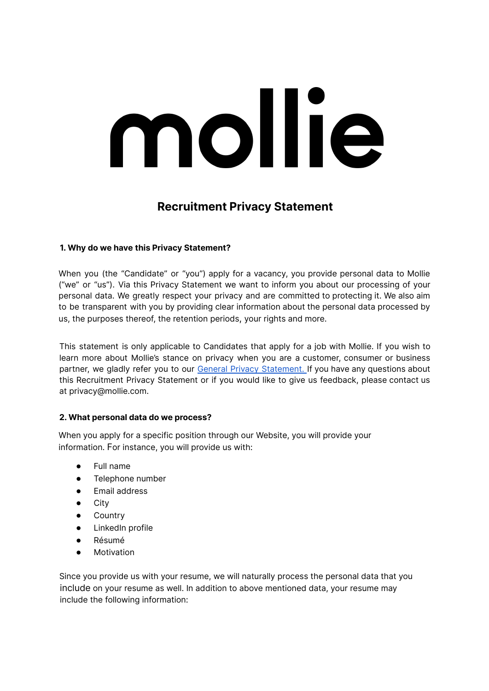# mollie

# **Recruitment Privacy Statement**

# **1. Why do we have this Privacy Statement?**

When you (the "Candidate" or "you") apply for a vacancy, you provide personal data to Mollie ("we" or "us"). Via this Privacy Statement we want to inform you about our processing of your personal data. We greatly respect your privacy and are committed to protecting it. We also aim to be transparent with you by providing clear information about the personal data processed by us, the purposes thereof, the retention periods, your rights and more.

This statement is only applicable to Candidates that apply for a job with Mollie. If you wish to learn more about Mollie's stance on privacy when you are a customer, consumer or business partner, we gladly refer you to our General Privacy [Statement](https://www.mollie.com/en/privacy). If you have any questions about this Recruitment Privacy Statement or if you would like to give us feedback, please contact us at privacy@mollie.com.

# **2. What personal data do we process?**

When you apply for a specific position through our Website, you will provide your information. For instance, you will provide us with:

- Full name
- Telephone number
- Email address
- City
- **Country**
- LinkedIn profile
- Résumé
- **Motivation**

Since you provide us with your resume, we will naturally process the personal data that you include on your resume as well. In addition to above mentioned data, your resume may include the following information: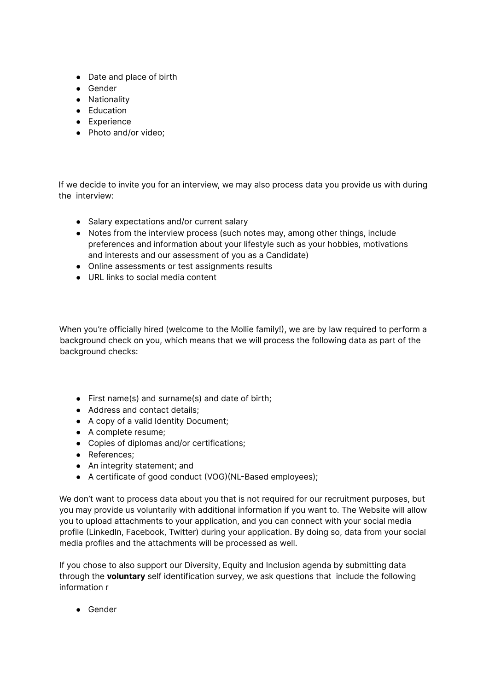- Date and place of birth
- Gender
- Nationality
- Education
- Experience
- Photo and/or video;

If we decide to invite you for an interview, we may also process data you provide us with during the interview:

- Salary expectations and/or current salary
- Notes from the interview process (such notes may, among other things, include preferences and information about your lifestyle such as your hobbies, motivations and interests and our assessment of you as a Candidate)
- Online assessments or test assignments results
- URL links to social media content

When you're officially hired (welcome to the Mollie family!), we are by law required to perform a background check on you, which means that we will process the following data as part of the background checks:

- First name(s) and surname(s) and date of birth;
- Address and contact details;
- A copy of a valid Identity Document;
- A complete resume;
- Copies of diplomas and/or certifications;
- References;
- An integrity statement; and
- A certificate of good conduct (VOG)(NL-Based employees);

We don't want to process data about you that is not required for our recruitment purposes, but you may provide us voluntarily with additional information if you want to. The Website will allow you to upload attachments to your application, and you can connect with your social media profile (LinkedIn, Facebook, Twitter) during your application. By doing so, data from your social media profiles and the attachments will be processed as well.

If you chose to also support our Diversity, Equity and Inclusion agenda by submitting data through the **voluntary** self identification survey, we ask questions that include the following information r

● Gender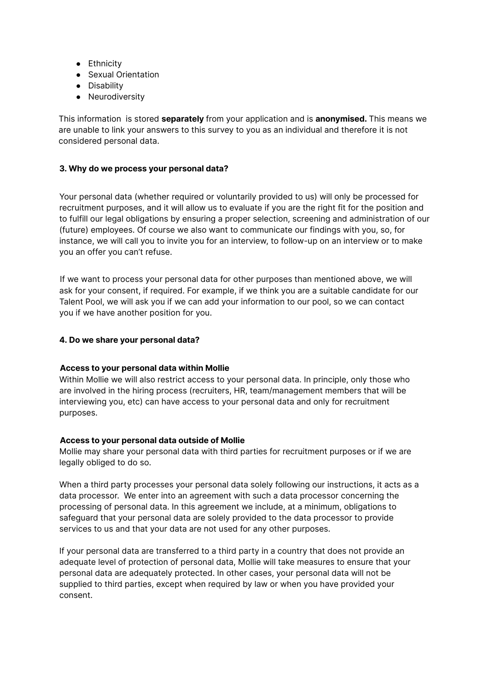- Ethnicity
- Sexual Orientation
- Disability
- Neurodiversity

This information is stored **separately** from your application and is **anonymised.** This means we are unable to link your answers to this survey to you as an individual and therefore it is not considered personal data.

#### **3. Why do we process your personal data?**

Your personal data (whether required or voluntarily provided to us) will only be processed for recruitment purposes, and it will allow us to evaluate if you are the right fit for the position and to fulfill our legal obligations by ensuring a proper selection, screening and administration of our (future) employees. Of course we also want to communicate our findings with you, so, for instance, we will call you to invite you for an interview, to follow-up on an interview or to make you an offer you can't refuse.

If we want to process your personal data for other purposes than mentioned above, we will ask for your consent, if required. For example, if we think you are a suitable candidate for our Talent Pool, we will ask you if we can add your information to our pool, so we can contact you if we have another position for you.

#### **4. Do we share your personal data?**

#### **Access to your personal data within Mollie**

Within Mollie we will also restrict access to your personal data. In principle, only those who are involved in the hiring process (recruiters, HR, team/management members that will be interviewing you, etc) can have access to your personal data and only for recruitment purposes.

#### **Access to your personal data outside of Mollie**

Mollie may share your personal data with third parties for recruitment purposes or if we are legally obliged to do so.

When a third party processes your personal data solely following our instructions, it acts as a data processor. We enter into an agreement with such a data processor concerning the processing of personal data. In this agreement we include, at a minimum, obligations to safeguard that your personal data are solely provided to the data processor to provide services to us and that your data are not used for any other purposes.

If your personal data are transferred to a third party in a country that does not provide an adequate level of protection of personal data, Mollie will take measures to ensure that your personal data are adequately protected. In other cases, your personal data will not be supplied to third parties, except when required by law or when you have provided your consent.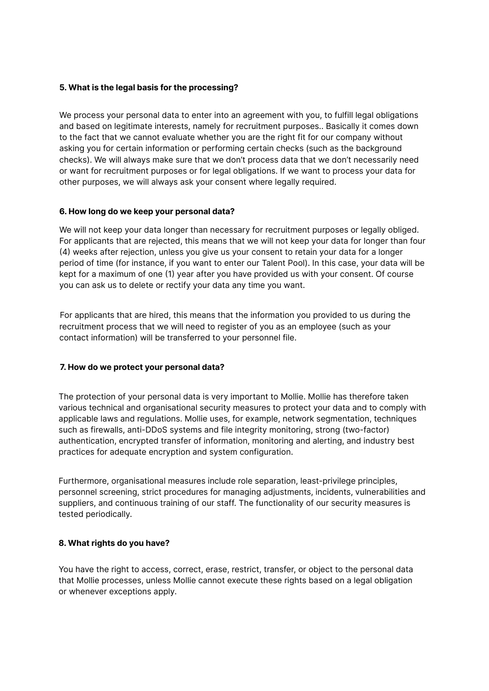#### **5. What is the legal basis for the processing?**

We process your personal data to enter into an agreement with you, to fulfill legal obligations and based on legitimate interests, namely for recruitment purposes.. Basically it comes down to the fact that we cannot evaluate whether you are the right fit for our company without asking you for certain information or performing certain checks (such as the background checks). We will always make sure that we don't process data that we don't necessarily need or want for recruitment purposes or for legal obligations. If we want to process your data for other purposes, we will always ask your consent where legally required.

### **6. How long do we keep your personal data?**

We will not keep your data longer than necessary for recruitment purposes or legally obliged. For applicants that are rejected, this means that we will not keep your data for longer than four (4) weeks after rejection, unless you give us your consent to retain your data for a longer period of time (for instance, if you want to enter our Talent Pool). In this case, your data will be kept for a maximum of one (1) year after you have provided us with your consent. Of course you can ask us to delete or rectify your data any time you want.

For applicants that are hired, this means that the information you provided to us during the recruitment process that we will need to register of you as an employee (such as your contact information) will be transferred to your personnel file.

# **7. How do we protect your personal data?**

The protection of your personal data is very important to Mollie. Mollie has therefore taken various technical and organisational security measures to protect your data and to comply with applicable laws and regulations. Mollie uses, for example, network segmentation, techniques such as firewalls, anti-DDoS systems and file integrity monitoring, strong (two-factor) authentication, encrypted transfer of information, monitoring and alerting, and industry best practices for adequate encryption and system configuration.

Furthermore, organisational measures include role separation, least-privilege principles, personnel screening, strict procedures for managing adjustments, incidents, vulnerabilities and suppliers, and continuous training of our staff. The functionality of our security measures is tested periodically.

# **8. What rights do you have?**

You have the right to access, correct, erase, restrict, transfer, or object to the personal data that Mollie processes, unless Mollie cannot execute these rights based on a legal obligation or whenever exceptions apply.